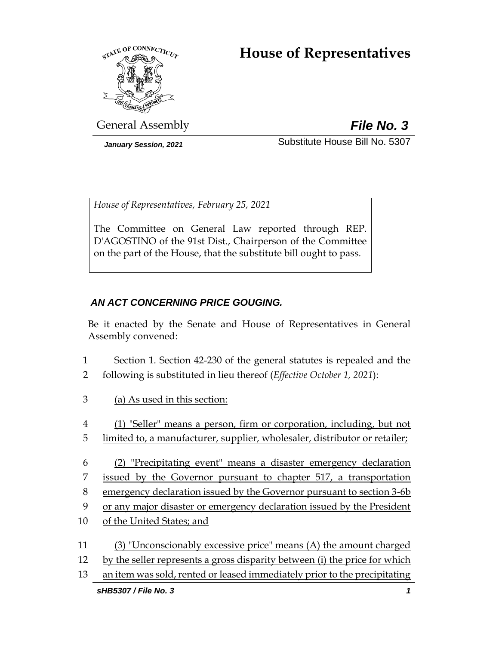# **House of Representatives**



General Assembly *File No. 3*

*January Session, 2021* Substitute House Bill No. 5307

*House of Representatives, February 25, 2021*

The Committee on General Law reported through REP. D'AGOSTINO of the 91st Dist., Chairperson of the Committee on the part of the House, that the substitute bill ought to pass.

# *AN ACT CONCERNING PRICE GOUGING.*

Be it enacted by the Senate and House of Representatives in General Assembly convened:

- 1 Section 1. Section 42-230 of the general statutes is repealed and the
- 2 following is substituted in lieu thereof (*Effective October 1, 2021*):
- 3 (a) As used in this section:
- 4 (1) "Seller" means a person, firm or corporation, including, but not
- 5 limited to, a manufacturer, supplier, wholesaler, distributor or retailer;
- 6 (2) "Precipitating event" means a disaster emergency declaration 7 issued by the Governor pursuant to chapter 517, a transportation 8 emergency declaration issued by the Governor pursuant to section 3-6b 9 or any major disaster or emergency declaration issued by the President
- 10 of the United States; and
- 11 (3) "Unconscionably excessive price" means (A) the amount charged 12 by the seller represents a gross disparity between (i) the price for which
- 13 an item was sold, rented or leased immediately prior to the precipitating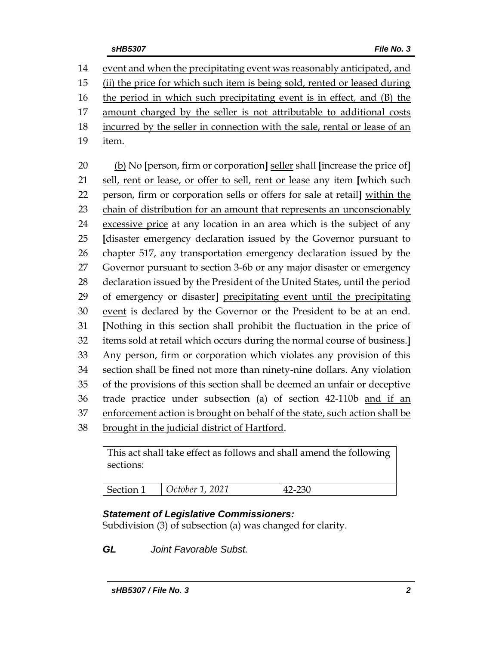event and when the precipitating event was reasonably anticipated, and (ii) the price for which such item is being sold, rented or leased during the period in which such precipitating event is in effect*,* and (B) the amount charged by the seller is not attributable to additional costs incurred by the seller in connection with the sale, rental or lease of an item. (b) No **[**person, firm or corporation**]** seller shall **[**increase the price of**]** sell, rent or lease, or offer to sell, rent or lease any item **[**which such person, firm or corporation sells or offers for sale at retail**]** within the

 chain of distribution for an amount that represents an unconscionably excessive price at any location in an area which is the subject of any **[**disaster emergency declaration issued by the Governor pursuant to chapter 517, any transportation emergency declaration issued by the Governor pursuant to section 3-6b or any major disaster or emergency declaration issued by the President of the United States, until the period of emergency or disaster**]** precipitating event until the precipitating event is declared by the Governor or the President to be at an end. **[**Nothing in this section shall prohibit the fluctuation in the price of items sold at retail which occurs during the normal course of business.**]** Any person, firm or corporation which violates any provision of this section shall be fined not more than ninety-nine dollars. Any violation of the provisions of this section shall be deemed an unfair or deceptive trade practice under subsection (a) of section 42-110b and if an enforcement action is brought on behalf of the state, such action shall be

brought in the judicial district of Hartford.

This act shall take effect as follows and shall amend the following sections: Section 1 *October 1, 2021* 42-230

# *Statement of Legislative Commissioners:*

Subdivision (3) of subsection (a) was changed for clarity.

*GL Joint Favorable Subst.*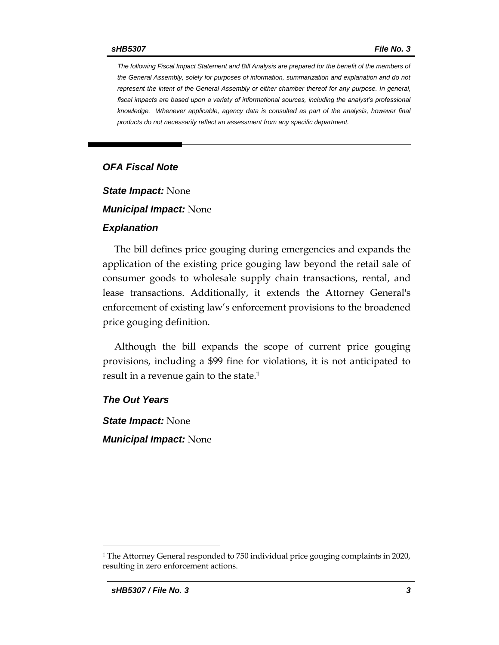*The following Fiscal Impact Statement and Bill Analysis are prepared for the benefit of the members of the General Assembly, solely for purposes of information, summarization and explanation and do not represent the intent of the General Assembly or either chamber thereof for any purpose. In general,*  fiscal impacts are based upon a variety of informational sources, including the analyst's professional *knowledge. Whenever applicable, agency data is consulted as part of the analysis, however final products do not necessarily reflect an assessment from any specific department.*

### *OFA Fiscal Note*

*State Impact:* None

*Municipal Impact:* None

#### *Explanation*

The bill defines price gouging during emergencies and expands the application of the existing price gouging law beyond the retail sale of consumer goods to wholesale supply chain transactions, rental, and lease transactions. Additionally, it extends the Attorney General's enforcement of existing law's enforcement provisions to the broadened price gouging definition.

Although the bill expands the scope of current price gouging provisions, including a \$99 fine for violations, it is not anticipated to result in a revenue gain to the state.<sup>1</sup>

*The Out Years*

*State Impact:* None *Municipal Impact:* None

 $\overline{a}$ 

<sup>1</sup> The Attorney General responded to 750 individual price gouging complaints in 2020, resulting in zero enforcement actions.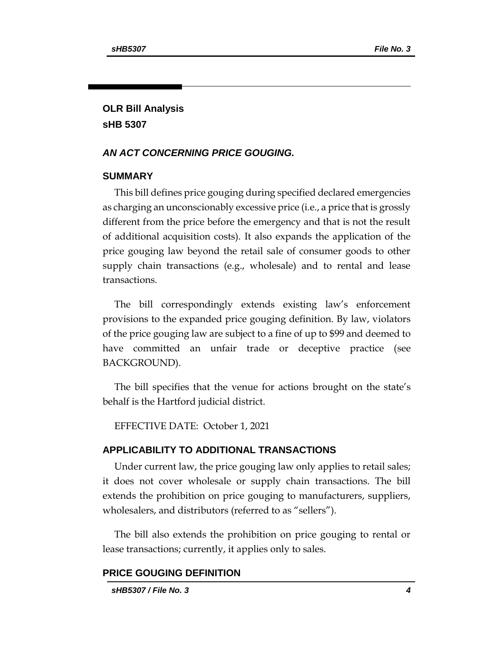# **OLR Bill Analysis sHB 5307**

## *AN ACT CONCERNING PRICE GOUGING.*

#### **SUMMARY**

This bill defines price gouging during specified declared emergencies as charging an unconscionably excessive price (i.e., a price that is grossly different from the price before the emergency and that is not the result of additional acquisition costs). It also expands the application of the price gouging law beyond the retail sale of consumer goods to other supply chain transactions (e.g., wholesale) and to rental and lease transactions.

The bill correspondingly extends existing law's enforcement provisions to the expanded price gouging definition. By law, violators of the price gouging law are subject to a fine of up to \$99 and deemed to have committed an unfair trade or deceptive practice (see BACKGROUND).

The bill specifies that the venue for actions brought on the state's behalf is the Hartford judicial district.

EFFECTIVE DATE: October 1, 2021

#### **APPLICABILITY TO ADDITIONAL TRANSACTIONS**

Under current law, the price gouging law only applies to retail sales; it does not cover wholesale or supply chain transactions. The bill extends the prohibition on price gouging to manufacturers, suppliers, wholesalers, and distributors (referred to as "sellers").

The bill also extends the prohibition on price gouging to rental or lease transactions; currently, it applies only to sales.

### **PRICE GOUGING DEFINITION**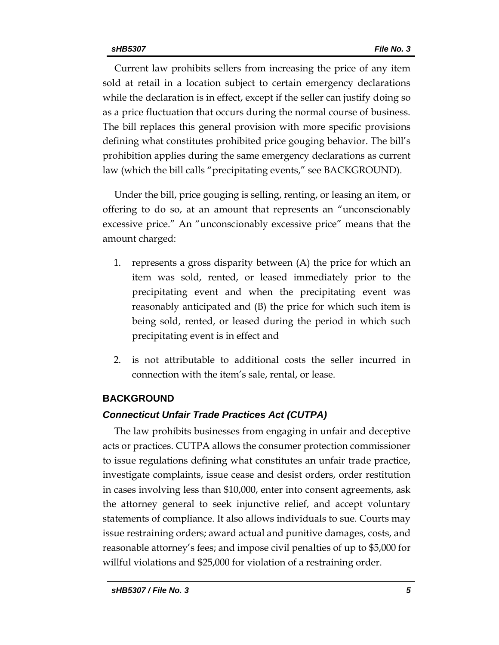Current law prohibits sellers from increasing the price of any item sold at retail in a location subject to certain emergency declarations while the declaration is in effect, except if the seller can justify doing so as a price fluctuation that occurs during the normal course of business. The bill replaces this general provision with more specific provisions defining what constitutes prohibited price gouging behavior. The bill's prohibition applies during the same emergency declarations as current law (which the bill calls "precipitating events," see BACKGROUND).

Under the bill, price gouging is selling, renting, or leasing an item, or offering to do so, at an amount that represents an "unconscionably excessive price." An "unconscionably excessive price" means that the amount charged:

- 1. represents a gross disparity between (A) the price for which an item was sold, rented, or leased immediately prior to the precipitating event and when the precipitating event was reasonably anticipated and (B) the price for which such item is being sold, rented, or leased during the period in which such precipitating event is in effect and
- 2. is not attributable to additional costs the seller incurred in connection with the item's sale, rental, or lease.

# **BACKGROUND**

# *Connecticut Unfair Trade Practices Act (CUTPA)*

The law prohibits businesses from engaging in unfair and deceptive acts or practices. CUTPA allows the consumer protection commissioner to issue regulations defining what constitutes an unfair trade practice, investigate complaints, issue cease and desist orders, order restitution in cases involving less than \$10,000, enter into consent agreements, ask the attorney general to seek injunctive relief, and accept voluntary statements of compliance. It also allows individuals to sue. Courts may issue restraining orders; award actual and punitive damages, costs, and reasonable attorney's fees; and impose civil penalties of up to \$5,000 for willful violations and \$25,000 for violation of a restraining order.